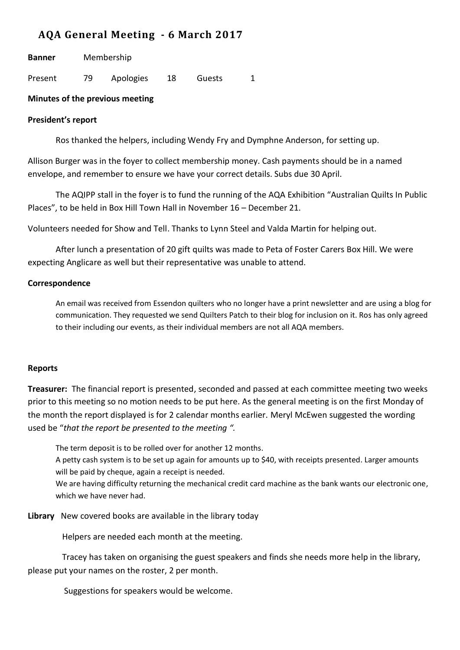# **AQA General Meeting - 6 March 2017**

| <b>Banner</b> | Membership |           |    |        |  |
|---------------|------------|-----------|----|--------|--|
| Present       | 79.        | Apologies | 18 | Guests |  |

## **Minutes of the previous meeting**

## **President's report**

Ros thanked the helpers, including Wendy Fry and Dymphne Anderson, for setting up.

Allison Burger was in the foyer to collect membership money. Cash payments should be in a named envelope, and remember to ensure we have your correct details. Subs due 30 April.

The AQIPP stall in the foyer is to fund the running of the AQA Exhibition "Australian Quilts In Public Places", to be held in Box Hill Town Hall in November 16 – December 21.

Volunteers needed for Show and Tell. Thanks to Lynn Steel and Valda Martin for helping out.

After lunch a presentation of 20 gift quilts was made to Peta of Foster Carers Box Hill. We were expecting Anglicare as well but their representative was unable to attend.

## **Correspondence**

An email was received from Essendon quilters who no longer have a print newsletter and are using a blog for communication. They requested we send Quilters Patch to their blog for inclusion on it. Ros has only agreed to their including our events, as their individual members are not all AQA members.

#### **Reports**

**Treasurer:** The financial report is presented, seconded and passed at each committee meeting two weeks prior to this meeting so no motion needs to be put here. As the general meeting is on the first Monday of the month the report displayed is for 2 calendar months earlier. Meryl McEwen suggested the wording used be "*that the report be presented to the meeting ".*

The term deposit is to be rolled over for another 12 months. A petty cash system is to be set up again for amounts up to \$40, with receipts presented. Larger amounts will be paid by cheque, again a receipt is needed. We are having difficulty returning the mechanical credit card machine as the bank wants our electronic one,

which we have never had.

**Library** New covered books are available in the library today

Helpers are needed each month at the meeting.

 Tracey has taken on organising the guest speakers and finds she needs more help in the library, please put your names on the roster, 2 per month.

Suggestions for speakers would be welcome.